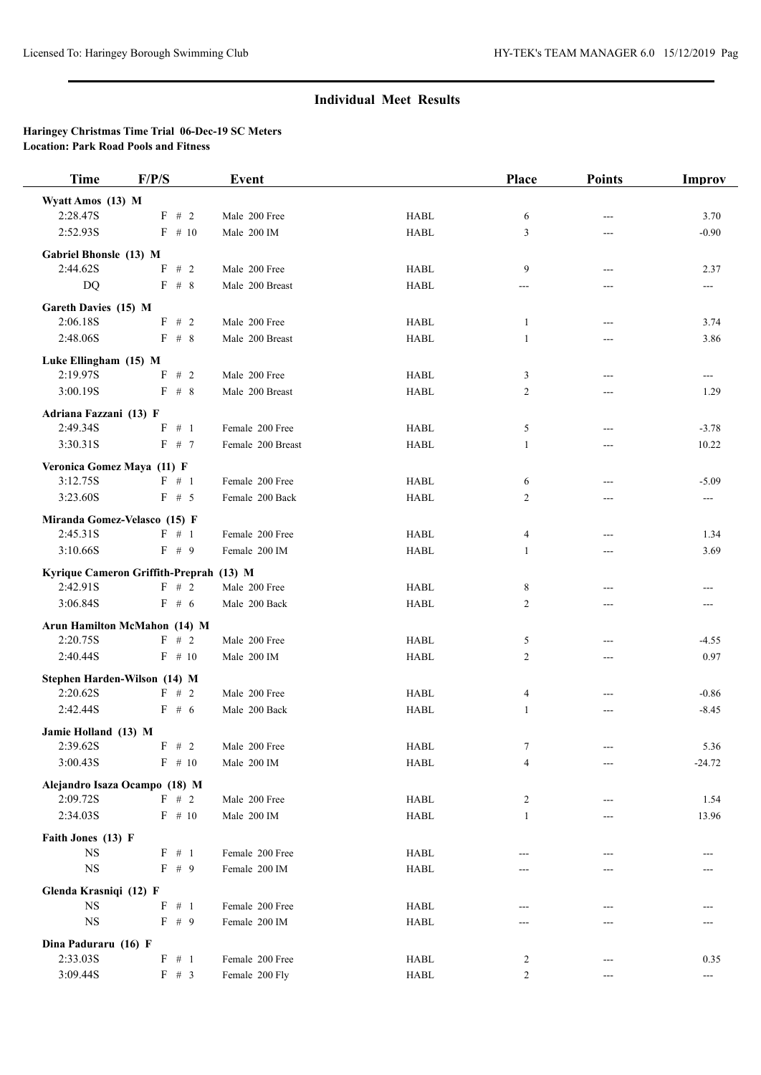## **Individual Meet Results**

## **Haringey Christmas Time Trial 06-Dec-19 SC Meters Location: Park Road Pools and Fitness**

| <b>Time</b>                        | F/P/S                                   | <b>Event</b>                 |              | Place          | <b>Points</b> | Improv           |
|------------------------------------|-----------------------------------------|------------------------------|--------------|----------------|---------------|------------------|
| Wyatt Amos (13) M                  |                                         |                              |              |                |               |                  |
| 2:28.47S                           | $F$ # 2                                 | Male 200 Free                | <b>HABL</b>  | 6              |               | 3.70             |
| 2:52.93S                           | $F$ # 10                                | Male 200 IM                  | <b>HABL</b>  | 3              | ---           | $-0.90$          |
| Gabriel Bhonsle (13) M             |                                         |                              |              |                |               |                  |
| 2:44.62S                           | F<br># 2                                | Male 200 Free                | <b>HABL</b>  | 9              | $---$         | 2.37             |
| <b>DQ</b>                          | $F$ # 8                                 | Male 200 Breast              | <b>HABL</b>  | ---            |               | $---$            |
| Gareth Davies (15) M               |                                         |                              |              |                |               |                  |
| 2:06.18S                           | F # 2                                   | Male 200 Free                | <b>HABL</b>  | $\mathbf{1}$   | ---           | 3.74             |
| 2:48.06S                           | $F$ # 8                                 | Male 200 Breast              | <b>HABL</b>  | $\mathbf{1}$   | ---           | 3.86             |
| Luke Ellingham (15) M              |                                         |                              |              |                |               |                  |
| 2:19.97S                           | F<br>#2                                 | Male 200 Free                | <b>HABL</b>  | 3              | ---           | ---              |
| 3:00.19S                           | F # 8                                   | Male 200 Breast              | <b>HABL</b>  | 2              | ---           | 1.29             |
|                                    |                                         |                              |              |                |               |                  |
| Adriana Fazzani (13) F<br>2:49.34S | F # 1                                   |                              |              |                |               |                  |
|                                    |                                         | Female 200 Free              | <b>HABL</b>  | 5              | ---           | $-3.78$          |
| 3:30.31S                           | F # 7                                   | Female 200 Breast            | <b>HABL</b>  | $\mathbf{1}$   | ---           | 10.22            |
| Veronica Gomez Maya (11) F         |                                         |                              |              |                |               |                  |
| 3:12.75S                           | $F \# 1$                                | Female 200 Free              | <b>HABL</b>  | 6              | ---           | $-5.09$          |
| 3:23.60S                           | F # 5                                   | Female 200 Back              | <b>HABL</b>  | 2              | ---           | ---              |
|                                    | Miranda Gomez-Velasco (15) F            |                              |              |                |               |                  |
| 2:45.31S                           | $F \# 1$                                | Female 200 Free              | <b>HABL</b>  | 4              |               | 1.34             |
| 3:10.66S                           | F # 9                                   | Female 200 IM                | <b>HABL</b>  | 1              | ---           | 3.69             |
|                                    | Kyrique Cameron Griffith-Preprah (13) M |                              |              |                |               |                  |
| 2:42.91S                           | $F$ # 2                                 | Male 200 Free                | <b>HABL</b>  | 8              |               |                  |
| 3:06.84S                           | $F \# 6$                                | Male 200 Back                | <b>HABL</b>  | 2              | ---           | ---              |
|                                    | Arun Hamilton McMahon (14) M            |                              |              |                |               |                  |
| 2:20.75S                           | F # 2                                   | Male 200 Free                | <b>HABL</b>  | 5              | ---           | $-4.55$          |
| 2:40.44S                           | $F \# 10$                               | Male 200 IM                  | <b>HABL</b>  | $\overline{c}$ | ---           | 0.97             |
|                                    | Stephen Harden-Wilson (14) M            |                              |              |                |               |                  |
| 2:20.62S                           | $F$ # 2                                 | Male 200 Free                | <b>HABL</b>  | 4              | ---           | $-0.86$          |
| 2:42.44S                           | $F \# 6$                                | Male 200 Back                | <b>HABL</b>  | 1              | ---           | $-8.45$          |
|                                    |                                         |                              |              |                |               |                  |
| Jamie Holland (13) M<br>2:39.62S   | $F$ # 2                                 |                              |              |                |               |                  |
| 3:00.43S                           | $F$ # 10                                | Male 200 Free<br>Male 200 IM | HABL<br>HABL | 7<br>4         | ---           | 5.36<br>$-24.72$ |
|                                    |                                         |                              |              |                | ---           |                  |
|                                    | Alejandro Isaza Ocampo (18) M           |                              |              |                |               |                  |
| 2:09.72S                           | $F$ # 2                                 | Male 200 Free                | HABL         | $\overline{c}$ | ---           | 1.54             |
| 2:34.03S                           | $F$ # 10                                | Male 200 IM                  | <b>HABL</b>  | 1              | ---           | 13.96            |
| Faith Jones (13) F                 |                                         |                              |              |                |               |                  |
| $_{\rm NS}$                        | F # 1                                   | Female 200 Free              | HABL         |                |               |                  |
| $_{\rm NS}$                        | F # 9                                   | Female 200 IM                | HABL         |                |               |                  |
| Glenda Krasniqi (12) F             |                                         |                              |              |                |               |                  |
| $_{\rm NS}$                        | F<br># 1                                | Female 200 Free              | <b>HABL</b>  | ---            | ---           |                  |
| $_{\rm NS}$                        | $\mathbf{F}$ # 9                        | Female 200 IM                | HABL         |                |               |                  |
| Dina Paduraru (16) F               |                                         |                              |              |                |               |                  |
| 2:33.03S                           | $F$ # 1                                 | Female 200 Free              | HABL         | $\overline{c}$ |               | 0.35             |
| 3:09.44S                           | F # 3                                   | Female 200 Fly               | HABL         | $\overline{c}$ | ---           | ---              |
|                                    |                                         |                              |              |                |               |                  |